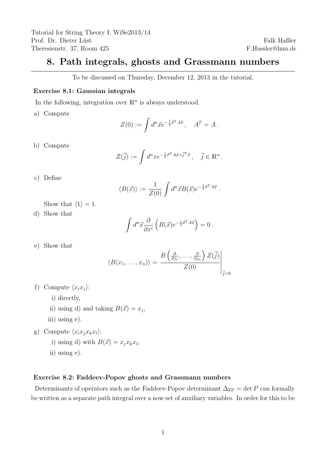## 8. Path integrals, ghosts and Grassmann numbers

To be discussed on Thursday, December 12, 2013 in the tutorial.

## Exercise 8.1: Gaussian integrals

In the following, integration over  $\mathbb{R}^n$  is always understood.

a) Compute

$$
Z(0) := \int d^n \vec{x} e^{-\frac{1}{2}\vec{x}^T A \vec{x}}, \quad A^T = A.
$$

b) Compute

$$
Z(\vec{j}) := \int d^n x e^{-\frac{1}{2}\vec{x}^T A \vec{x} + \vec{j}^T \vec{x}}, \quad \vec{j} \in \mathbb{R}^n.
$$

c) Define

$$
\langle B(\vec{x}) \rangle := \frac{1}{Z(0)} \int d^n \vec{x} B(\vec{x}) e^{-\frac{1}{2}\vec{x}^T A \vec{x}}.
$$

Show that  $\langle 1 \rangle = 1$ .

d) Show that

$$
\int d^n \vec{x} \frac{\partial}{\partial x^i} \left( B(\vec{x}) e^{-\frac{1}{2}\vec{x}^T A \vec{x}} \right) = 0.
$$

e) Show that

$$
\langle B(x_1,\ldots,x_n)\rangle = \frac{B\left(\frac{\partial}{\partial j_1},\ldots,\frac{\partial}{\partial j_n}\right)Z(\vec{j})}{Z(0)}\Bigg|_{\vec{j}=0}
$$

- f) Compute  $\langle x_i x_j \rangle$ :
	- i) directly,
	- ii) using d) and taking  $B(\vec{x}) = x_j$ ,
	- iii) using e).
- g) Compute  $\langle x_i x_j x_k x_l \rangle$ :
	- i) using d) with  $B(\vec{x}) = x_j x_k x_l$ ,
	- ii) using e).

## Exercise 8.2: Faddeev-Popov ghosts and Grassmann numbers

Determinants of operators such as the Faddeev-Popov determinant  $\Delta_{FP} = \det P$  can formally be written as a separate path integral over a now set of auxiliary variables. In order for this to be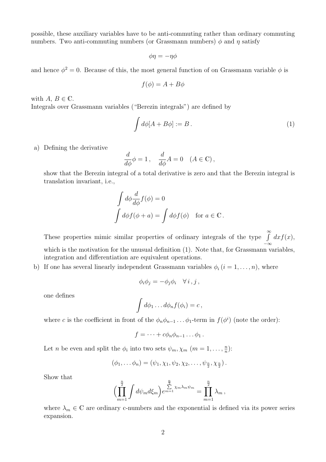possible, these auxiliary variables have to be anti-commuting rather than ordinary commuting numbers. Two anti-commuting numbers (or Grassmann numbers)  $\phi$  and  $\eta$  satisfy

$$
\phi \eta = -\eta \phi
$$

and hence  $\phi^2 = 0$ . Because of this, the most general function of on Grassmann variable  $\phi$  is

$$
f(\phi) = A + B\phi
$$

with  $A, B \in \mathbb{C}$ . Integrals over Grassmann variables ("Berezin integrals") are defined by

$$
\int d\phi [A + B\phi] := B \,. \tag{1}
$$

a) Defining the derivative

$$
\frac{d}{d\phi}\phi = 1\,, \quad \frac{d}{d\phi}A = 0 \quad (A \in \mathbb{C})\,,
$$

show that the Berezin integral of a total derivative is zero and that the Berezin integral is translation invariant, i.e.,

$$
\int d\phi \frac{d}{d\phi} f(\phi) = 0
$$
  

$$
\int d\phi f(\phi + a) = \int d\phi f(\phi) \text{ for } a \in \mathbb{C}.
$$

These properties mimic similar properties of ordinary integrals of the type  $\int_{0}^{\infty}$  $-\infty$  $dx f(x),$ which is the motivation for the unusual definition  $(1)$ . Note that, for Grassmann variables, integration and differentiation are equivalent operations.

b) If one has several linearly independent Grassmann variables  $\phi_i$   $(i = 1, \ldots, n)$ , where

$$
\phi_i \phi_j = -\phi_j \phi_i \quad \forall i, j,
$$

one defines

$$
\int d\phi_1 \dots d\phi_n f(\phi_i) = c \,,
$$

where c is the coefficient in front of the  $\phi_n \phi_{n-1} \dots \phi_1$ -term in  $f(\phi^i)$  (note the order):

$$
f=\cdots+c\phi_n\phi_{n-1}\ldots\phi_1.
$$

Let *n* be even and split the  $\phi_i$  into two sets  $\psi_m, \chi_m$  ( $m = 1, \ldots, \frac{n}{n}$ )  $\frac{n}{n}$ ):

$$
(\phi_1, \ldots \phi_n) = (\psi_1, \chi_1, \psi_2, \chi_2, \ldots, \psi_{\frac{n}{2}}, \chi_{\frac{n}{2}}).
$$

Show that

$$
\left(\prod_{m=1}^{\frac{n}{2}}\int d\psi_m d\xi_m\right)e^{m=1} \sum_{m=1}^{\frac{n}{2}}\chi_m\lambda_m\psi_m = \prod_{m=1}^{\frac{n}{2}}\lambda_m,
$$

where  $\lambda_m \in \mathbb{C}$  are ordinary c-numbers and the exponential is defined via its power series expansion.